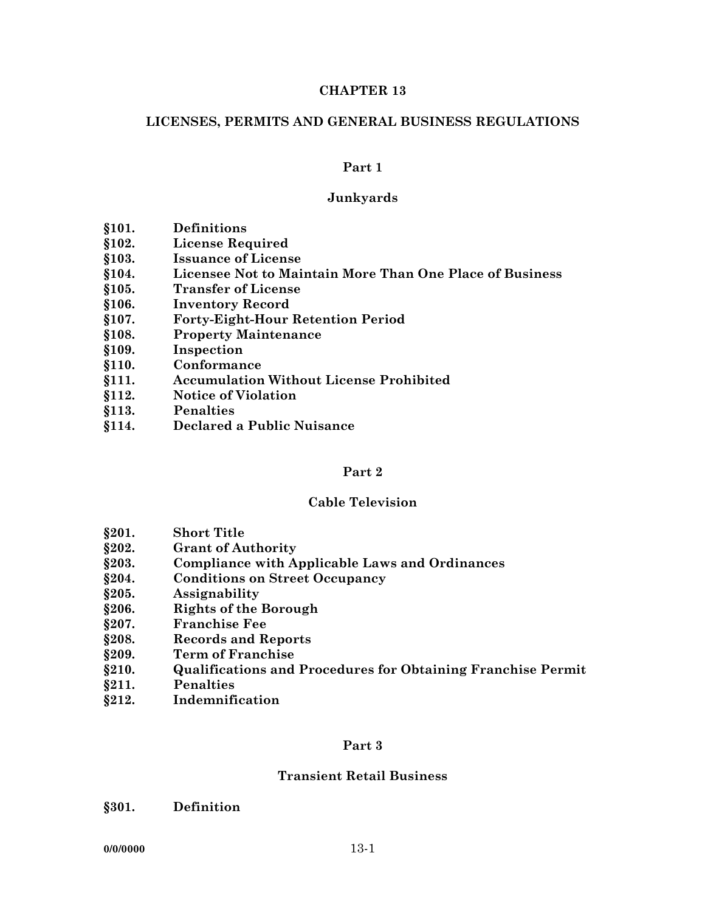#### **CHAPTER 13**

### **LICENSES, PERMITS AND GENERAL BUSINESS REGULATIONS**

#### **Part 1**

### **Junkyards**

- **§101. Definitions**
- **§102. License Required**
- **§103. Issuance of License**
- **§104. Licensee Not to Maintain More Than One Place of Business**
- **§105. Transfer of License**
- **§106. Inventory Record**
- **§107. Forty-Eight-Hour Retention Period**
- **§108. Property Maintenance**
- **§109. Inspection**
- **§110. Conformance**
- **§111. Accumulation Without License Prohibited**
- **§112. Notice of Violation**
- **§113. Penalties**
- **§114. Declared a Public Nuisance**

#### **Part 2**

#### **Cable Television**

- **§201. Short Title**
- **§202. Grant of Authority**
- **§203. Compliance with Applicable Laws and Ordinances**
- **§204. Conditions on Street Occupancy**
- **§205. Assignability**
- **§206. Rights of the Borough**
- **§207. Franchise Fee**
- **§208. Records and Reports**
- **§209. Term of Franchise**
- **§210. Qualifications and Procedures for Obtaining Franchise Permit**
- **§211. Penalties**
- **§212. Indemnification**

#### **Part 3**

#### **Transient Retail Business**

**§301. Definition**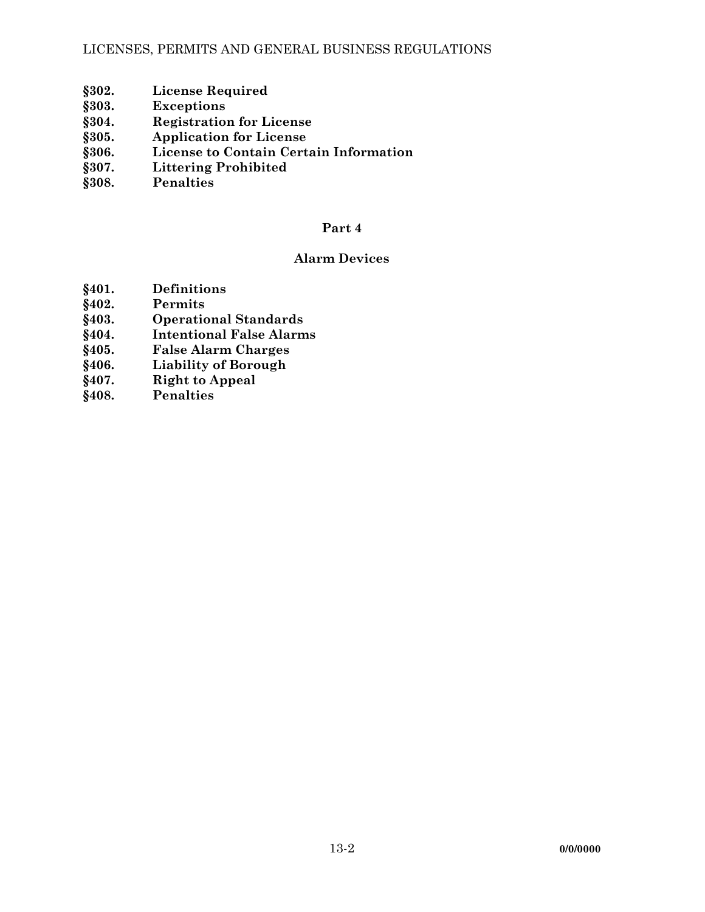## LICENSES, PERMITS AND GENERAL BUSINESS REGULATIONS

- **§302. License Required**
- **§303. Exceptions**
- **§304. Registration for License**
- **§305. Application for License**
- **§306. License to Contain Certain Information**
- **§307. Littering Prohibited**
- **§308. Penalties**

# **Part 4**

# **Alarm Devices**

- **§401. Definitions**
- **Permits**
- **§403. Operational Standards**
- **§404. Intentional False Alarms**
- **§405. False Alarm Charges**
- **Liability of Borough**
- **§407. Right to Appeal**
- **§408. Penalties**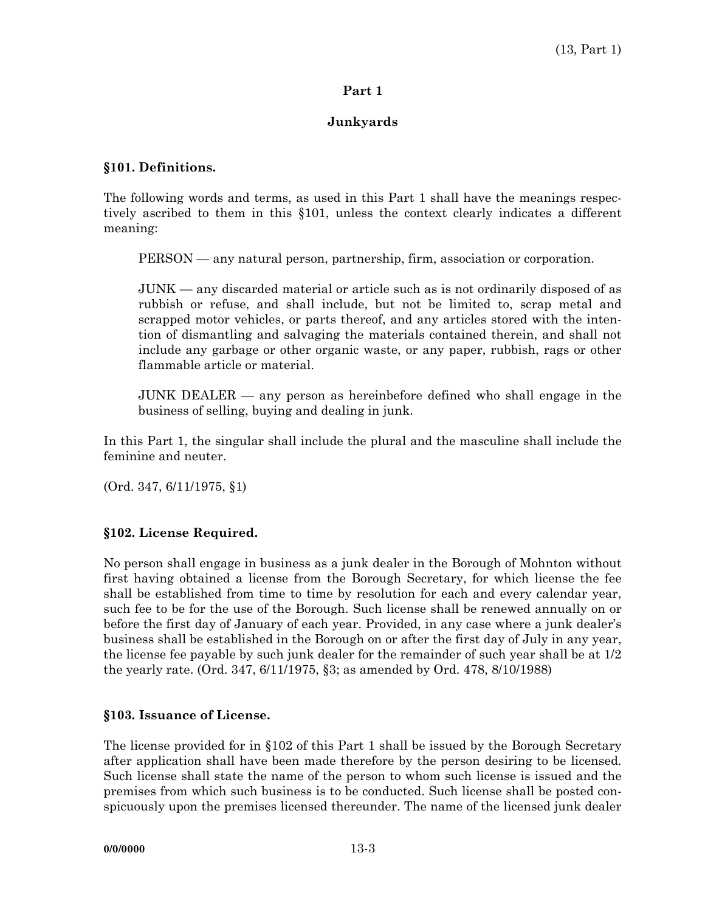## **Part 1**

## **Junkyards**

#### **§101. Definitions.**

The following words and terms, as used in this Part 1 shall have the meanings respectively ascribed to them in this §101, unless the context clearly indicates a different meaning:

PERSON — any natural person, partnership, firm, association or corporation.

 JUNK — any discarded material or article such as is not ordinarily disposed of as rubbish or refuse, and shall include, but not be limited to, scrap metal and scrapped motor vehicles, or parts thereof, and any articles stored with the intention of dismantling and salvaging the materials contained therein, and shall not include any garbage or other organic waste, or any paper, rubbish, rags or other flammable article or material.

 JUNK DEALER — any person as hereinbefore defined who shall engage in the business of selling, buying and dealing in junk.

In this Part 1, the singular shall include the plural and the masculine shall include the feminine and neuter.

(Ord. 347, 6/11/1975, §1)

## **§102. License Required.**

No person shall engage in business as a junk dealer in the Borough of Mohnton without first having obtained a license from the Borough Secretary, for which license the fee shall be established from time to time by resolution for each and every calendar year, such fee to be for the use of the Borough. Such license shall be renewed annually on or before the first day of January of each year. Provided, in any case where a junk dealer's business shall be established in the Borough on or after the first day of July in any year, the license fee payable by such junk dealer for the remainder of such year shall be at 1/2 the yearly rate. (Ord. 347, 6/11/1975, §3; as amended by Ord. 478, 8/10/1988)

#### **§103. Issuance of License.**

The license provided for in §102 of this Part 1 shall be issued by the Borough Secretary after application shall have been made therefore by the person desiring to be licensed. Such license shall state the name of the person to whom such license is issued and the premises from which such business is to be conducted. Such license shall be posted conspicuously upon the premises licensed thereunder. The name of the licensed junk dealer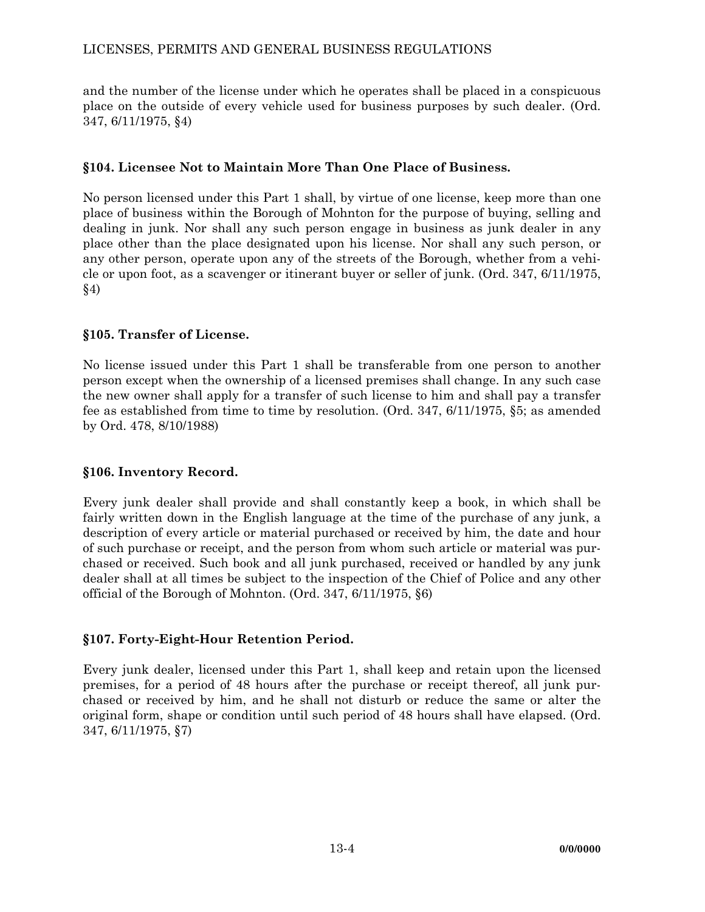# LICENSES, PERMITS AND GENERAL BUSINESS REGULATIONS

and the number of the license under which he operates shall be placed in a conspicuous place on the outside of every vehicle used for business purposes by such dealer. (Ord. 347, 6/11/1975, §4)

# **§104. Licensee Not to Maintain More Than One Place of Business.**

No person licensed under this Part 1 shall, by virtue of one license, keep more than one place of business within the Borough of Mohnton for the purpose of buying, selling and dealing in junk. Nor shall any such person engage in business as junk dealer in any place other than the place designated upon his license. Nor shall any such person, or any other person, operate upon any of the streets of the Borough, whether from a vehicle or upon foot, as a scavenger or itinerant buyer or seller of junk. (Ord. 347, 6/11/1975, §4)

# **§105. Transfer of License.**

No license issued under this Part 1 shall be transferable from one person to another person except when the ownership of a licensed premises shall change. In any such case the new owner shall apply for a transfer of such license to him and shall pay a transfer fee as established from time to time by resolution. (Ord. 347, 6/11/1975, §5; as amended by Ord. 478, 8/10/1988)

## **§106. Inventory Record.**

Every junk dealer shall provide and shall constantly keep a book, in which shall be fairly written down in the English language at the time of the purchase of any junk, a description of every article or material purchased or received by him, the date and hour of such purchase or receipt, and the person from whom such article or material was purchased or received. Such book and all junk purchased, received or handled by any junk dealer shall at all times be subject to the inspection of the Chief of Police and any other official of the Borough of Mohnton. (Ord. 347, 6/11/1975, §6)

# **§107. Forty-Eight-Hour Retention Period.**

Every junk dealer, licensed under this Part 1, shall keep and retain upon the licensed premises, for a period of 48 hours after the purchase or receipt thereof, all junk purchased or received by him, and he shall not disturb or reduce the same or alter the original form, shape or condition until such period of 48 hours shall have elapsed. (Ord. 347, 6/11/1975, §7)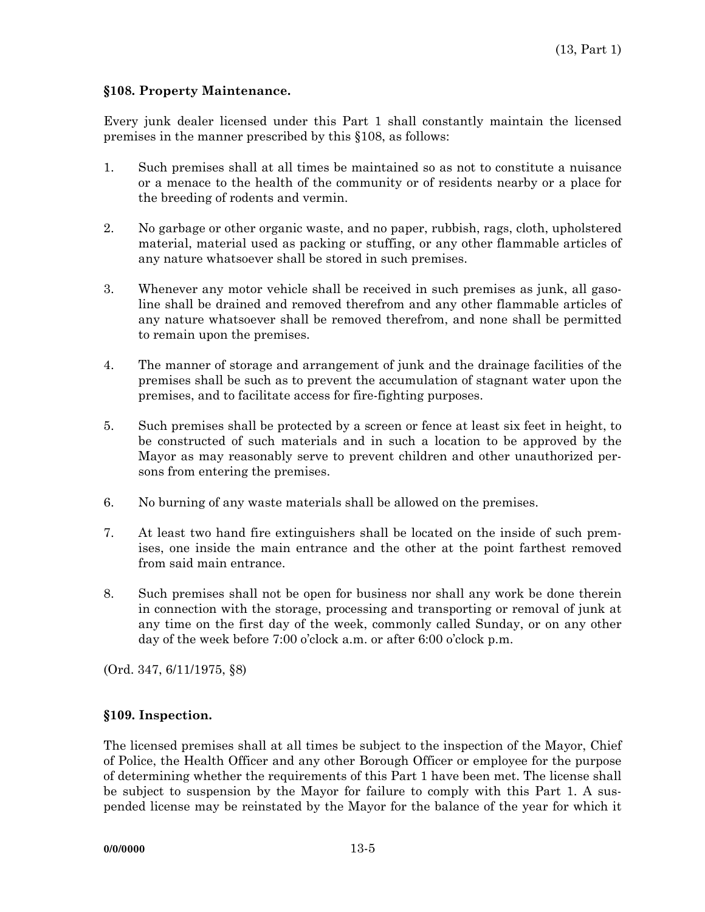#### **§108. Property Maintenance.**

Every junk dealer licensed under this Part 1 shall constantly maintain the licensed premises in the manner prescribed by this §108, as follows:

- 1. Such premises shall at all times be maintained so as not to constitute a nuisance or a menace to the health of the community or of residents nearby or a place for the breeding of rodents and vermin.
- 2. No garbage or other organic waste, and no paper, rubbish, rags, cloth, upholstered material, material used as packing or stuffing, or any other flammable articles of any nature whatsoever shall be stored in such premises.
- 3. Whenever any motor vehicle shall be received in such premises as junk, all gasoline shall be drained and removed therefrom and any other flammable articles of any nature whatsoever shall be removed therefrom, and none shall be permitted to remain upon the premises.
- 4. The manner of storage and arrangement of junk and the drainage facilities of the premises shall be such as to prevent the accumulation of stagnant water upon the premises, and to facilitate access for fire-fighting purposes.
- 5. Such premises shall be protected by a screen or fence at least six feet in height, to be constructed of such materials and in such a location to be approved by the Mayor as may reasonably serve to prevent children and other unauthorized persons from entering the premises.
- 6. No burning of any waste materials shall be allowed on the premises.
- 7. At least two hand fire extinguishers shall be located on the inside of such premises, one inside the main entrance and the other at the point farthest removed from said main entrance.
- 8. Such premises shall not be open for business nor shall any work be done therein in connection with the storage, processing and transporting or removal of junk at any time on the first day of the week, commonly called Sunday, or on any other day of the week before 7:00 o'clock a.m. or after 6:00 o'clock p.m.

(Ord. 347, 6/11/1975, §8)

## **§109. Inspection.**

The licensed premises shall at all times be subject to the inspection of the Mayor, Chief of Police, the Health Officer and any other Borough Officer or employee for the purpose of determining whether the requirements of this Part 1 have been met. The license shall be subject to suspension by the Mayor for failure to comply with this Part 1. A suspended license may be reinstated by the Mayor for the balance of the year for which it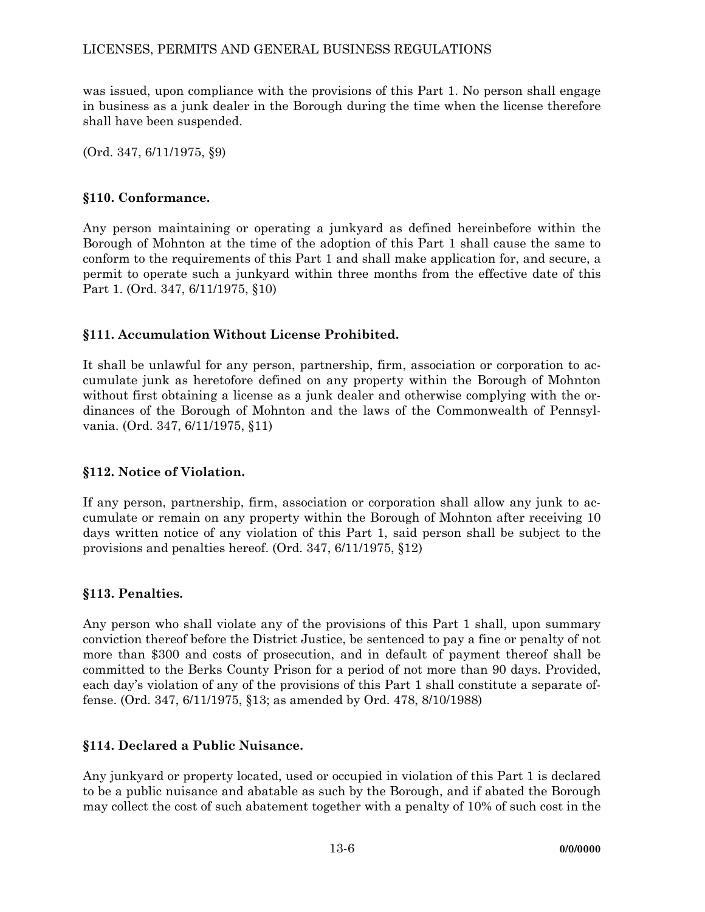was issued, upon compliance with the provisions of this Part 1. No person shall engage in business as a junk dealer in the Borough during the time when the license therefore shall have been suspended.

(Ord. 347, 6/11/1975, §9)

# **§110. Conformance.**

Any person maintaining or operating a junkyard as defined hereinbefore within the Borough of Mohnton at the time of the adoption of this Part 1 shall cause the same to conform to the requirements of this Part 1 and shall make application for, and secure, a permit to operate such a junkyard within three months from the effective date of this Part 1. (Ord. 347, 6/11/1975, §10)

# **§111. Accumulation Without License Prohibited.**

It shall be unlawful for any person, partnership, firm, association or corporation to accumulate junk as heretofore defined on any property within the Borough of Mohnton without first obtaining a license as a junk dealer and otherwise complying with the ordinances of the Borough of Mohnton and the laws of the Commonwealth of Pennsylvania. (Ord. 347, 6/11/1975, §11)

## **§112. Notice of Violation.**

If any person, partnership, firm, association or corporation shall allow any junk to accumulate or remain on any property within the Borough of Mohnton after receiving 10 days written notice of any violation of this Part 1, said person shall be subject to the provisions and penalties hereof. (Ord. 347, 6/11/1975, §12)

# **§113. Penalties.**

Any person who shall violate any of the provisions of this Part 1 shall, upon summary conviction thereof before the District Justice, be sentenced to pay a fine or penalty of not more than \$300 and costs of prosecution, and in default of payment thereof shall be committed to the Berks County Prison for a period of not more than 90 days. Provided, each day's violation of any of the provisions of this Part 1 shall constitute a separate offense. (Ord. 347, 6/11/1975, §13; as amended by Ord. 478, 8/10/1988)

## **§114. Declared a Public Nuisance.**

Any junkyard or property located, used or occupied in violation of this Part 1 is declared to be a public nuisance and abatable as such by the Borough, and if abated the Borough may collect the cost of such abatement together with a penalty of 10% of such cost in the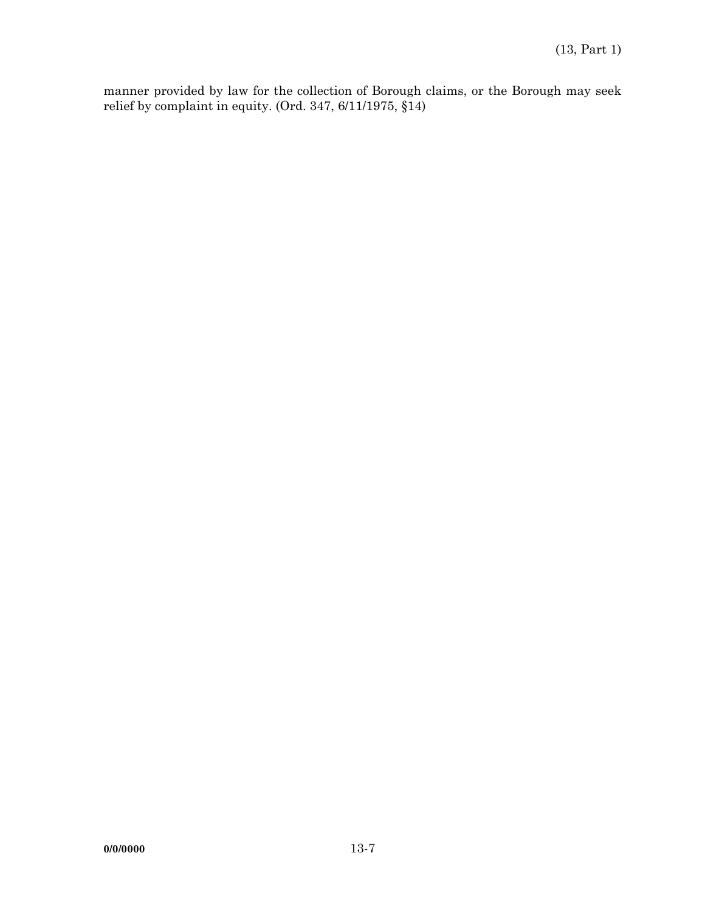manner provided by law for the collection of Borough claims, or the Borough may seek relief by complaint in equity. (Ord. 347, 6/11/1975, §14)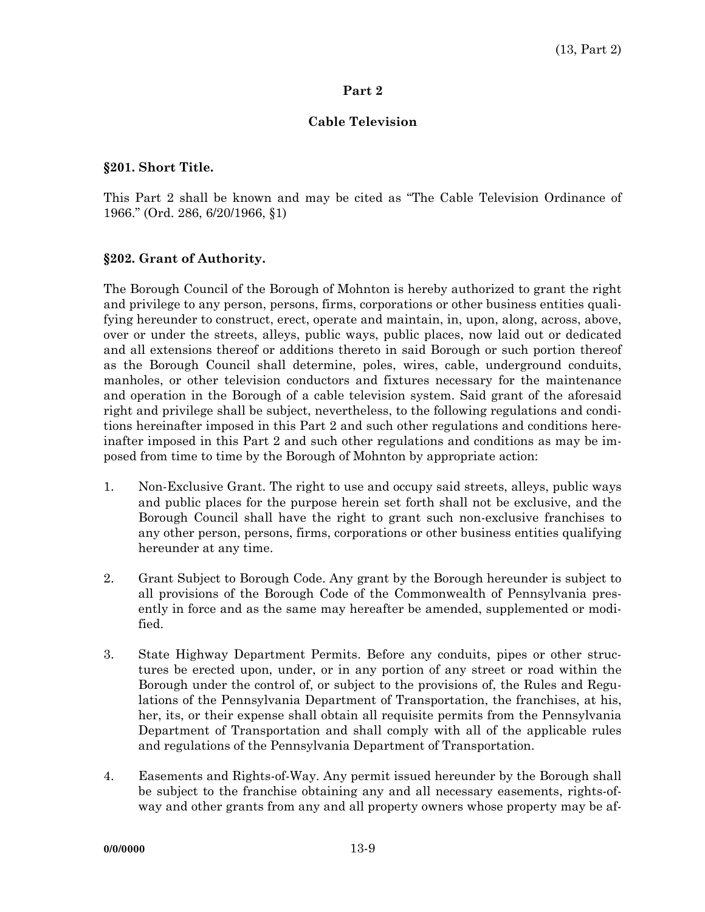#### **Part 2**

### **Cable Television**

#### **§201. Short Title.**

This Part 2 shall be known and may be cited as "The Cable Television Ordinance of 1966." (Ord. 286, 6/20/1966, §1)

#### **§202. Grant of Authority.**

The Borough Council of the Borough of Mohnton is hereby authorized to grant the right and privilege to any person, persons, firms, corporations or other business entities qualifying hereunder to construct, erect, operate and maintain, in, upon, along, across, above, over or under the streets, alleys, public ways, public places, now laid out or dedicated and all extensions thereof or additions thereto in said Borough or such portion thereof as the Borough Council shall determine, poles, wires, cable, underground conduits, manholes, or other television conductors and fixtures necessary for the maintenance and operation in the Borough of a cable television system. Said grant of the aforesaid right and privilege shall be subject, nevertheless, to the following regulations and conditions hereinafter imposed in this Part 2 and such other regulations and conditions hereinafter imposed in this Part 2 and such other regulations and conditions as may be imposed from time to time by the Borough of Mohnton by appropriate action:

- 1. Non-Exclusive Grant. The right to use and occupy said streets, alleys, public ways and public places for the purpose herein set forth shall not be exclusive, and the Borough Council shall have the right to grant such non-exclusive franchises to any other person, persons, firms, corporations or other business entities qualifying hereunder at any time.
- 2. Grant Subject to Borough Code. Any grant by the Borough hereunder is subject to all provisions of the Borough Code of the Commonwealth of Pennsylvania presently in force and as the same may hereafter be amended, supplemented or modified.
- 3. State Highway Department Permits. Before any conduits, pipes or other structures be erected upon, under, or in any portion of any street or road within the Borough under the control of, or subject to the provisions of, the Rules and Regulations of the Pennsylvania Department of Transportation, the franchises, at his, her, its, or their expense shall obtain all requisite permits from the Pennsylvania Department of Transportation and shall comply with all of the applicable rules and regulations of the Pennsylvania Department of Transportation.
- 4. Easements and Rights-of-Way. Any permit issued hereunder by the Borough shall be subject to the franchise obtaining any and all necessary easements, rights-ofway and other grants from any and all property owners whose property may be af-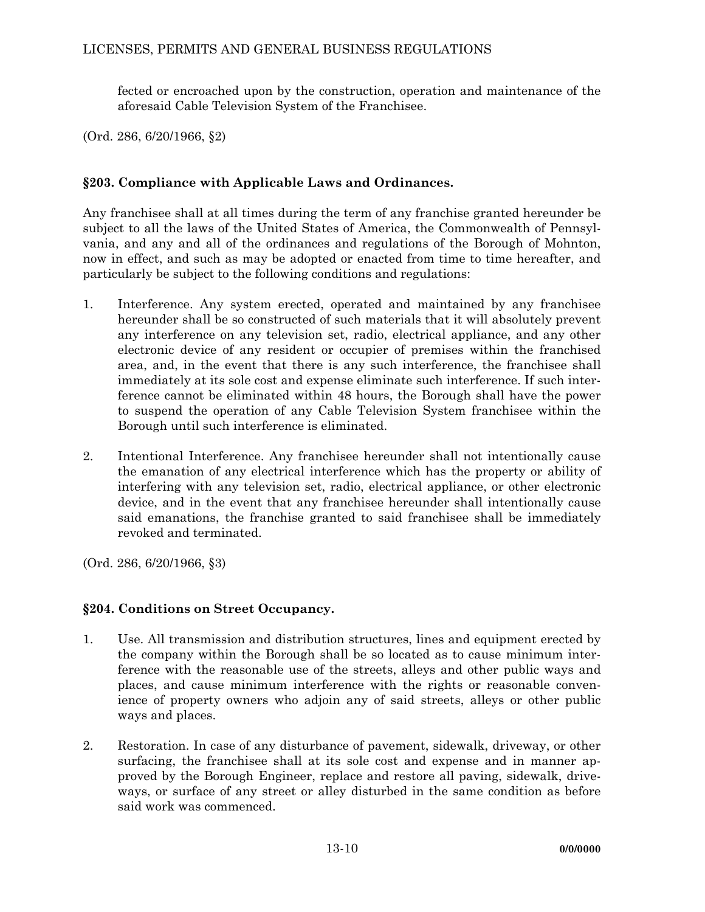fected or encroached upon by the construction, operation and maintenance of the aforesaid Cable Television System of the Franchisee.

(Ord. 286, 6/20/1966, §2)

# **§203. Compliance with Applicable Laws and Ordinances.**

Any franchisee shall at all times during the term of any franchise granted hereunder be subject to all the laws of the United States of America, the Commonwealth of Pennsylvania, and any and all of the ordinances and regulations of the Borough of Mohnton, now in effect, and such as may be adopted or enacted from time to time hereafter, and particularly be subject to the following conditions and regulations:

- 1. Interference. Any system erected, operated and maintained by any franchisee hereunder shall be so constructed of such materials that it will absolutely prevent any interference on any television set, radio, electrical appliance, and any other electronic device of any resident or occupier of premises within the franchised area, and, in the event that there is any such interference, the franchisee shall immediately at its sole cost and expense eliminate such interference. If such interference cannot be eliminated within 48 hours, the Borough shall have the power to suspend the operation of any Cable Television System franchisee within the Borough until such interference is eliminated.
- 2. Intentional Interference. Any franchisee hereunder shall not intentionally cause the emanation of any electrical interference which has the property or ability of interfering with any television set, radio, electrical appliance, or other electronic device, and in the event that any franchisee hereunder shall intentionally cause said emanations, the franchise granted to said franchisee shall be immediately revoked and terminated.

(Ord. 286, 6/20/1966, §3)

# **§204. Conditions on Street Occupancy.**

- 1. Use. All transmission and distribution structures, lines and equipment erected by the company within the Borough shall be so located as to cause minimum interference with the reasonable use of the streets, alleys and other public ways and places, and cause minimum interference with the rights or reasonable convenience of property owners who adjoin any of said streets, alleys or other public ways and places.
- 2. Restoration. In case of any disturbance of pavement, sidewalk, driveway, or other surfacing, the franchisee shall at its sole cost and expense and in manner approved by the Borough Engineer, replace and restore all paving, sidewalk, driveways, or surface of any street or alley disturbed in the same condition as before said work was commenced.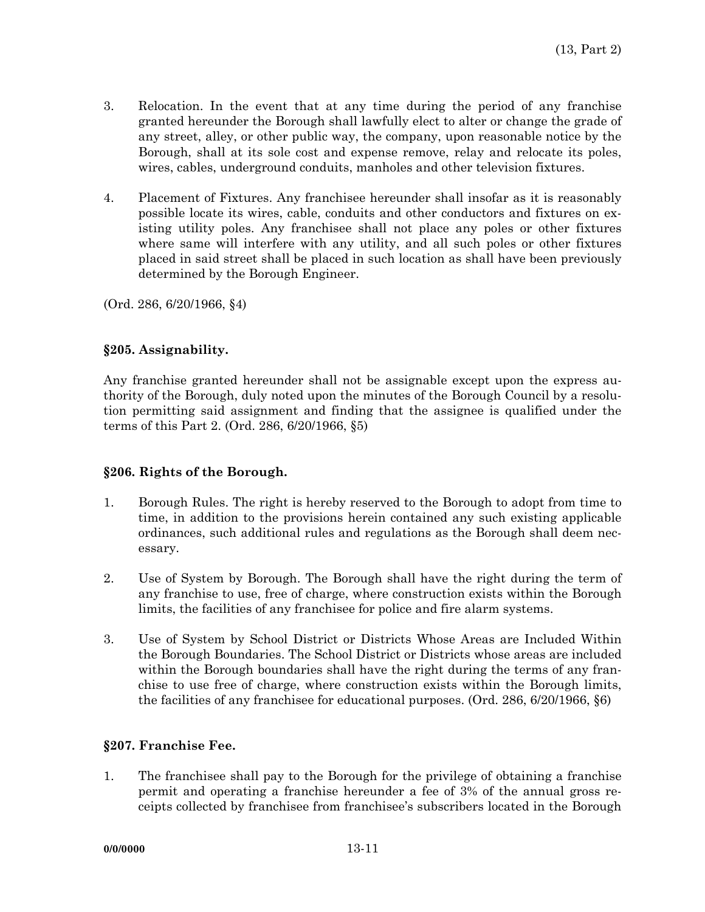- 3. Relocation. In the event that at any time during the period of any franchise granted hereunder the Borough shall lawfully elect to alter or change the grade of any street, alley, or other public way, the company, upon reasonable notice by the Borough, shall at its sole cost and expense remove, relay and relocate its poles, wires, cables, underground conduits, manholes and other television fixtures.
- 4. Placement of Fixtures. Any franchisee hereunder shall insofar as it is reasonably possible locate its wires, cable, conduits and other conductors and fixtures on existing utility poles. Any franchisee shall not place any poles or other fixtures where same will interfere with any utility, and all such poles or other fixtures placed in said street shall be placed in such location as shall have been previously determined by the Borough Engineer.

(Ord. 286, 6/20/1966, §4)

#### **§205. Assignability.**

Any franchise granted hereunder shall not be assignable except upon the express authority of the Borough, duly noted upon the minutes of the Borough Council by a resolution permitting said assignment and finding that the assignee is qualified under the terms of this Part 2. (Ord. 286, 6/20/1966, §5)

## **§206. Rights of the Borough.**

- 1. Borough Rules. The right is hereby reserved to the Borough to adopt from time to time, in addition to the provisions herein contained any such existing applicable ordinances, such additional rules and regulations as the Borough shall deem necessary.
- 2. Use of System by Borough. The Borough shall have the right during the term of any franchise to use, free of charge, where construction exists within the Borough limits, the facilities of any franchisee for police and fire alarm systems.
- 3. Use of System by School District or Districts Whose Areas are Included Within the Borough Boundaries. The School District or Districts whose areas are included within the Borough boundaries shall have the right during the terms of any franchise to use free of charge, where construction exists within the Borough limits, the facilities of any franchisee for educational purposes. (Ord. 286, 6/20/1966, §6)

## **§207. Franchise Fee.**

1. The franchisee shall pay to the Borough for the privilege of obtaining a franchise permit and operating a franchise hereunder a fee of 3% of the annual gross receipts collected by franchisee from franchisee's subscribers located in the Borough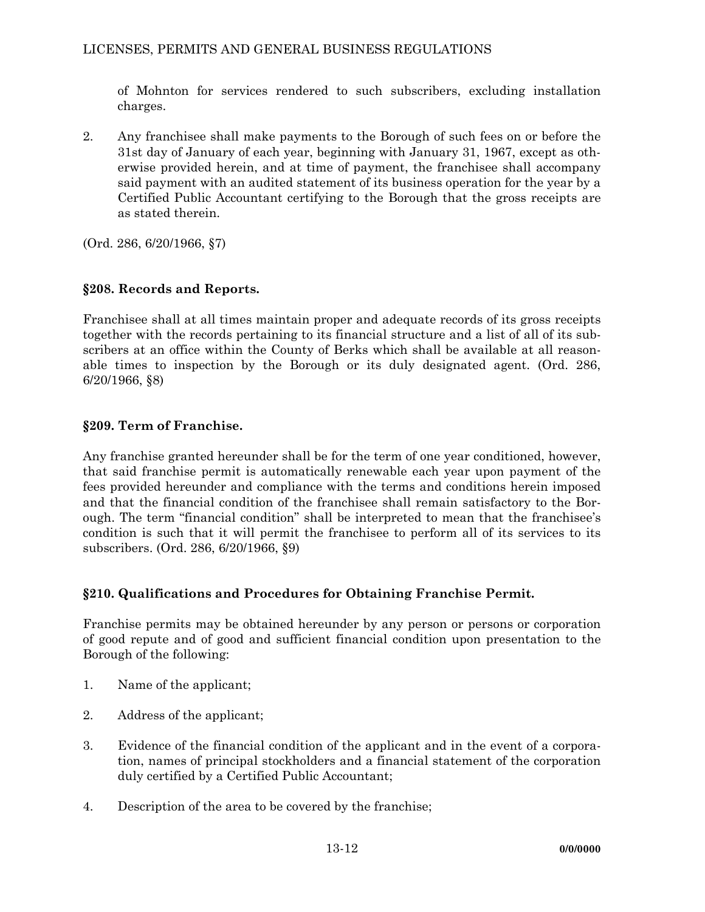of Mohnton for services rendered to such subscribers, excluding installation charges.

2. Any franchisee shall make payments to the Borough of such fees on or before the 31st day of January of each year, beginning with January 31, 1967, except as otherwise provided herein, and at time of payment, the franchisee shall accompany said payment with an audited statement of its business operation for the year by a Certified Public Accountant certifying to the Borough that the gross receipts are as stated therein.

(Ord. 286, 6/20/1966, §7)

# **§208. Records and Reports.**

Franchisee shall at all times maintain proper and adequate records of its gross receipts together with the records pertaining to its financial structure and a list of all of its subscribers at an office within the County of Berks which shall be available at all reasonable times to inspection by the Borough or its duly designated agent. (Ord. 286, 6/20/1966, §8)

# **§209. Term of Franchise.**

Any franchise granted hereunder shall be for the term of one year conditioned, however, that said franchise permit is automatically renewable each year upon payment of the fees provided hereunder and compliance with the terms and conditions herein imposed and that the financial condition of the franchisee shall remain satisfactory to the Borough. The term "financial condition" shall be interpreted to mean that the franchisee's condition is such that it will permit the franchisee to perform all of its services to its subscribers. (Ord. 286, 6/20/1966, §9)

# **§210. Qualifications and Procedures for Obtaining Franchise Permit.**

Franchise permits may be obtained hereunder by any person or persons or corporation of good repute and of good and sufficient financial condition upon presentation to the Borough of the following:

- 1. Name of the applicant;
- 2. Address of the applicant;
- 3. Evidence of the financial condition of the applicant and in the event of a corporation, names of principal stockholders and a financial statement of the corporation duly certified by a Certified Public Accountant;
- 4. Description of the area to be covered by the franchise;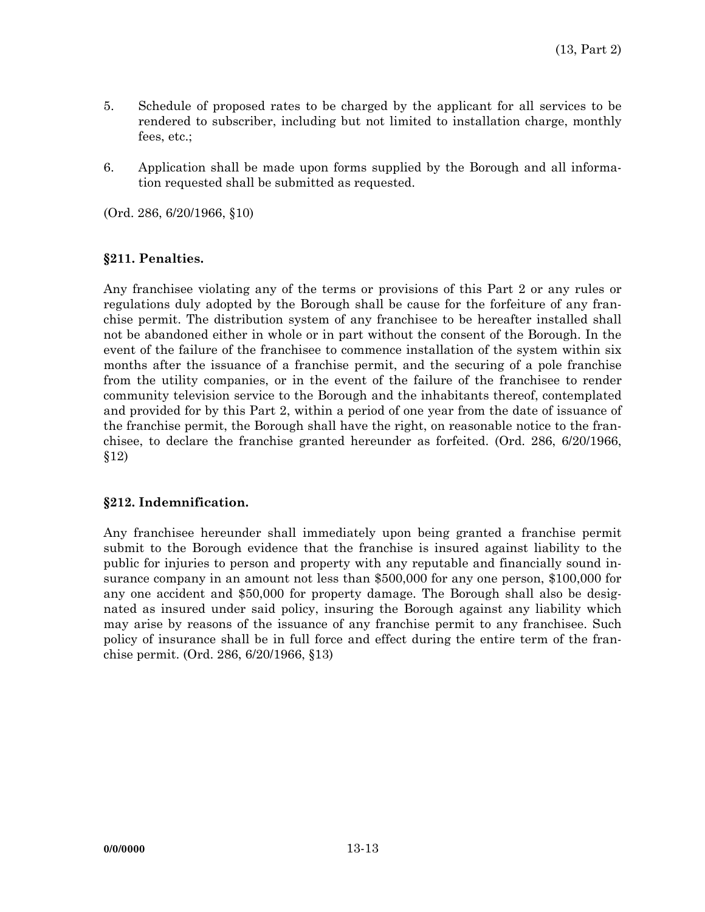- 5. Schedule of proposed rates to be charged by the applicant for all services to be rendered to subscriber, including but not limited to installation charge, monthly fees, etc.;
- 6. Application shall be made upon forms supplied by the Borough and all information requested shall be submitted as requested.

(Ord. 286, 6/20/1966, §10)

## **§211. Penalties.**

Any franchisee violating any of the terms or provisions of this Part 2 or any rules or regulations duly adopted by the Borough shall be cause for the forfeiture of any franchise permit. The distribution system of any franchisee to be hereafter installed shall not be abandoned either in whole or in part without the consent of the Borough. In the event of the failure of the franchisee to commence installation of the system within six months after the issuance of a franchise permit, and the securing of a pole franchise from the utility companies, or in the event of the failure of the franchisee to render community television service to the Borough and the inhabitants thereof, contemplated and provided for by this Part 2, within a period of one year from the date of issuance of the franchise permit, the Borough shall have the right, on reasonable notice to the franchisee, to declare the franchise granted hereunder as forfeited. (Ord. 286, 6/20/1966, §12)

## **§212. Indemnification.**

Any franchisee hereunder shall immediately upon being granted a franchise permit submit to the Borough evidence that the franchise is insured against liability to the public for injuries to person and property with any reputable and financially sound insurance company in an amount not less than \$500,000 for any one person, \$100,000 for any one accident and \$50,000 for property damage. The Borough shall also be designated as insured under said policy, insuring the Borough against any liability which may arise by reasons of the issuance of any franchise permit to any franchisee. Such policy of insurance shall be in full force and effect during the entire term of the franchise permit. (Ord. 286, 6/20/1966, §13)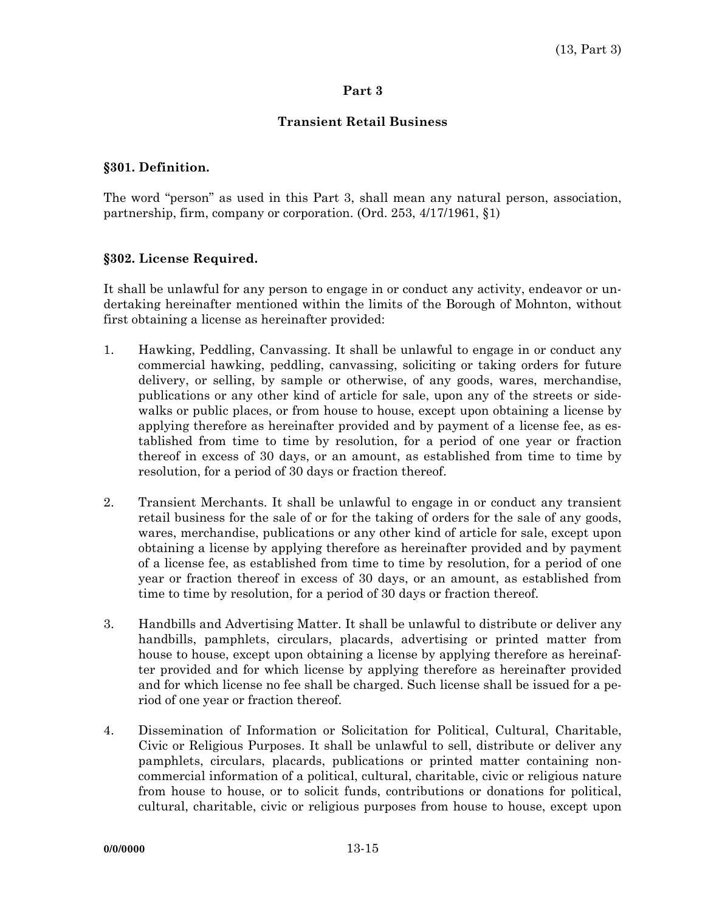#### **Part 3**

### **Transient Retail Business**

#### **§301. Definition.**

The word "person" as used in this Part 3, shall mean any natural person, association, partnership, firm, company or corporation. (Ord. 253, 4/17/1961, §1)

#### **§302. License Required.**

It shall be unlawful for any person to engage in or conduct any activity, endeavor or undertaking hereinafter mentioned within the limits of the Borough of Mohnton, without first obtaining a license as hereinafter provided:

- 1. Hawking, Peddling, Canvassing. It shall be unlawful to engage in or conduct any commercial hawking, peddling, canvassing, soliciting or taking orders for future delivery, or selling, by sample or otherwise, of any goods, wares, merchandise, publications or any other kind of article for sale, upon any of the streets or sidewalks or public places, or from house to house, except upon obtaining a license by applying therefore as hereinafter provided and by payment of a license fee, as established from time to time by resolution, for a period of one year or fraction thereof in excess of 30 days, or an amount, as established from time to time by resolution, for a period of 30 days or fraction thereof.
- 2. Transient Merchants. It shall be unlawful to engage in or conduct any transient retail business for the sale of or for the taking of orders for the sale of any goods, wares, merchandise, publications or any other kind of article for sale, except upon obtaining a license by applying therefore as hereinafter provided and by payment of a license fee, as established from time to time by resolution, for a period of one year or fraction thereof in excess of 30 days, or an amount, as established from time to time by resolution, for a period of 30 days or fraction thereof.
- 3. Handbills and Advertising Matter. It shall be unlawful to distribute or deliver any handbills, pamphlets, circulars, placards, advertising or printed matter from house to house, except upon obtaining a license by applying therefore as hereinafter provided and for which license by applying therefore as hereinafter provided and for which license no fee shall be charged. Such license shall be issued for a period of one year or fraction thereof.
- 4. Dissemination of Information or Solicitation for Political, Cultural, Charitable, Civic or Religious Purposes. It shall be unlawful to sell, distribute or deliver any pamphlets, circulars, placards, publications or printed matter containing noncommercial information of a political, cultural, charitable, civic or religious nature from house to house, or to solicit funds, contributions or donations for political, cultural, charitable, civic or religious purposes from house to house, except upon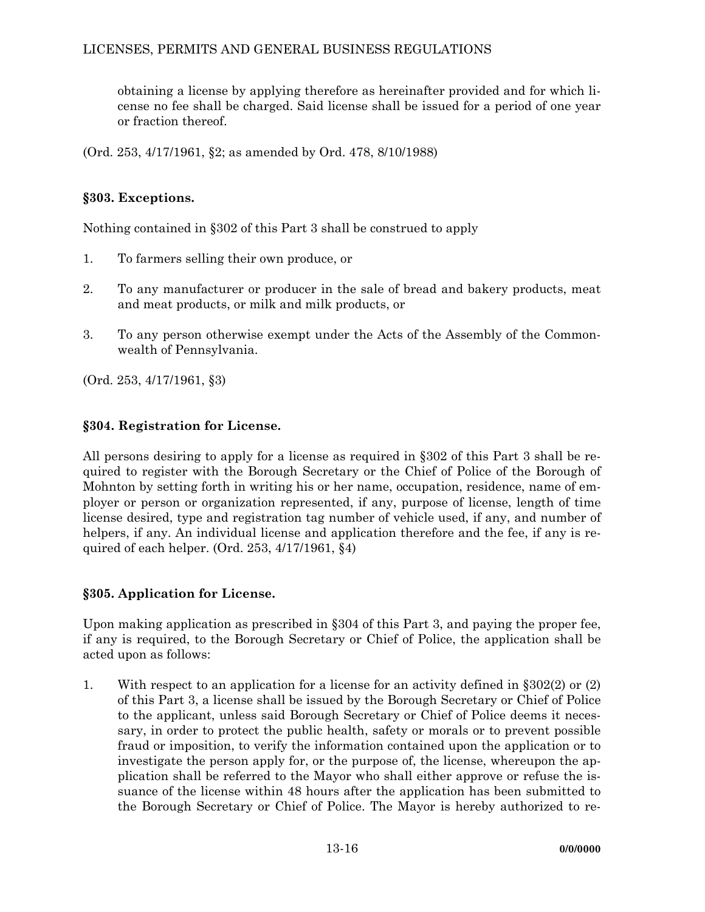obtaining a license by applying therefore as hereinafter provided and for which license no fee shall be charged. Said license shall be issued for a period of one year or fraction thereof.

(Ord. 253, 4/17/1961, §2; as amended by Ord. 478, 8/10/1988)

# **§303. Exceptions.**

Nothing contained in §302 of this Part 3 shall be construed to apply

- 1. To farmers selling their own produce, or
- 2. To any manufacturer or producer in the sale of bread and bakery products, meat and meat products, or milk and milk products, or
- 3. To any person otherwise exempt under the Acts of the Assembly of the Commonwealth of Pennsylvania.

(Ord. 253, 4/17/1961, §3)

# **§304. Registration for License.**

All persons desiring to apply for a license as required in §302 of this Part 3 shall be required to register with the Borough Secretary or the Chief of Police of the Borough of Mohnton by setting forth in writing his or her name, occupation, residence, name of employer or person or organization represented, if any, purpose of license, length of time license desired, type and registration tag number of vehicle used, if any, and number of helpers, if any. An individual license and application therefore and the fee, if any is required of each helper. (Ord. 253, 4/17/1961, §4)

## **§305. Application for License.**

Upon making application as prescribed in §304 of this Part 3, and paying the proper fee, if any is required, to the Borough Secretary or Chief of Police, the application shall be acted upon as follows:

1. With respect to an application for a license for an activity defined in §302(2) or (2) of this Part 3, a license shall be issued by the Borough Secretary or Chief of Police to the applicant, unless said Borough Secretary or Chief of Police deems it necessary, in order to protect the public health, safety or morals or to prevent possible fraud or imposition, to verify the information contained upon the application or to investigate the person apply for, or the purpose of, the license, whereupon the application shall be referred to the Mayor who shall either approve or refuse the issuance of the license within 48 hours after the application has been submitted to the Borough Secretary or Chief of Police. The Mayor is hereby authorized to re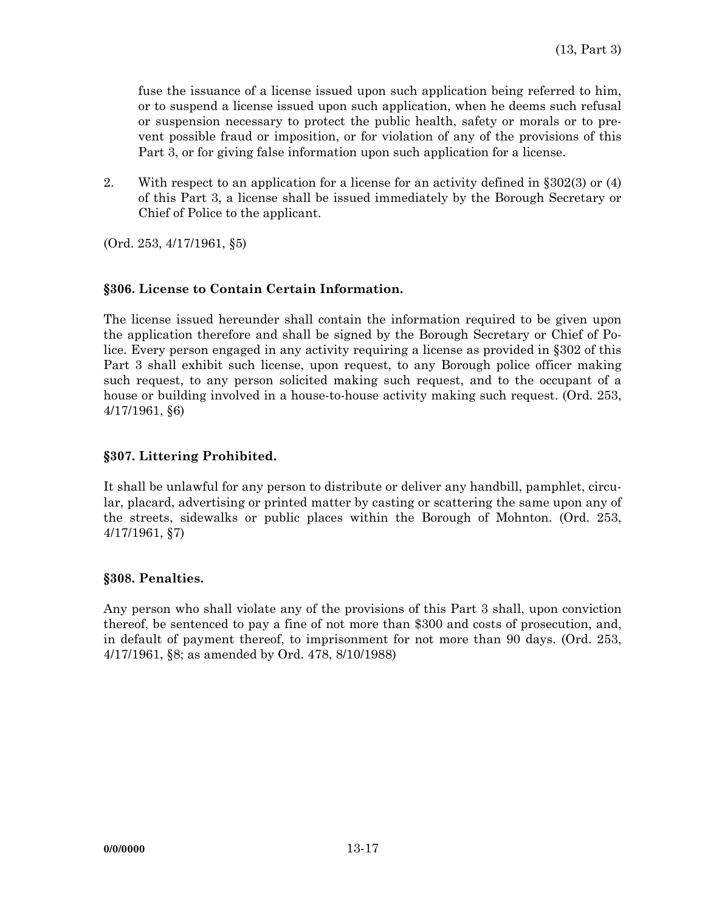fuse the issuance of a license issued upon such application being referred to him, or to suspend a license issued upon such application, when he deems such refusal or suspension necessary to protect the public health, safety or morals or to prevent possible fraud or imposition, or for violation of any of the provisions of this Part 3, or for giving false information upon such application for a license.

2. With respect to an application for a license for an activity defined in §302(3) or (4) of this Part 3, a license shall be issued immediately by the Borough Secretary or Chief of Police to the applicant.

(Ord. 253, 4/17/1961, §5)

#### **§306. License to Contain Certain Information.**

The license issued hereunder shall contain the information required to be given upon the application therefore and shall be signed by the Borough Secretary or Chief of Police. Every person engaged in any activity requiring a license as provided in §302 of this Part 3 shall exhibit such license, upon request, to any Borough police officer making such request, to any person solicited making such request, and to the occupant of a house or building involved in a house-to-house activity making such request. (Ord. 253, 4/17/1961, §6)

### **§307. Littering Prohibited.**

It shall be unlawful for any person to distribute or deliver any handbill, pamphlet, circular, placard, advertising or printed matter by casting or scattering the same upon any of the streets, sidewalks or public places within the Borough of Mohnton. (Ord. 253, 4/17/1961, §7)

#### **§308. Penalties.**

Any person who shall violate any of the provisions of this Part 3 shall, upon conviction thereof, be sentenced to pay a fine of not more than \$300 and costs of prosecution, and, in default of payment thereof, to imprisonment for not more than 90 days. (Ord. 253, 4/17/1961, §8; as amended by Ord. 478, 8/10/1988)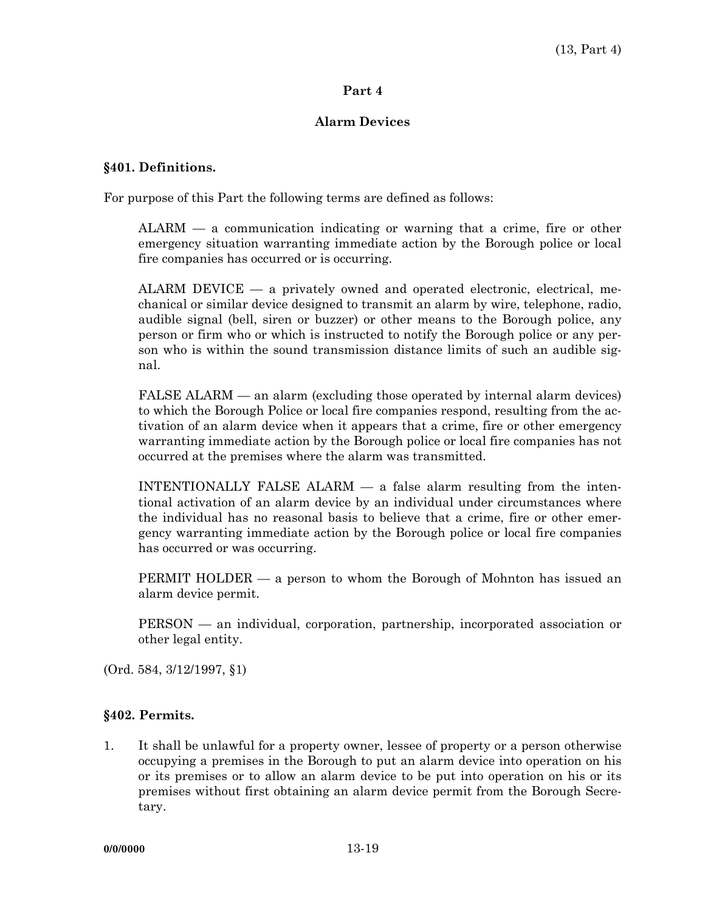#### **Part 4**

### **Alarm Devices**

#### **§401. Definitions.**

For purpose of this Part the following terms are defined as follows:

 ALARM — a communication indicating or warning that a crime, fire or other emergency situation warranting immediate action by the Borough police or local fire companies has occurred or is occurring.

 ALARM DEVICE — a privately owned and operated electronic, electrical, mechanical or similar device designed to transmit an alarm by wire, telephone, radio, audible signal (bell, siren or buzzer) or other means to the Borough police, any person or firm who or which is instructed to notify the Borough police or any person who is within the sound transmission distance limits of such an audible signal.

FALSE ALARM — an alarm (excluding those operated by internal alarm devices) to which the Borough Police or local fire companies respond, resulting from the activation of an alarm device when it appears that a crime, fire or other emergency warranting immediate action by the Borough police or local fire companies has not occurred at the premises where the alarm was transmitted.

 INTENTIONALLY FALSE ALARM — a false alarm resulting from the intentional activation of an alarm device by an individual under circumstances where the individual has no reasonal basis to believe that a crime, fire or other emergency warranting immediate action by the Borough police or local fire companies has occurred or was occurring.

 PERMIT HOLDER — a person to whom the Borough of Mohnton has issued an alarm device permit.

 PERSON — an individual, corporation, partnership, incorporated association or other legal entity.

(Ord. 584, 3/12/1997, §1)

## **§402. Permits.**

1. It shall be unlawful for a property owner, lessee of property or a person otherwise occupying a premises in the Borough to put an alarm device into operation on his or its premises or to allow an alarm device to be put into operation on his or its premises without first obtaining an alarm device permit from the Borough Secretary.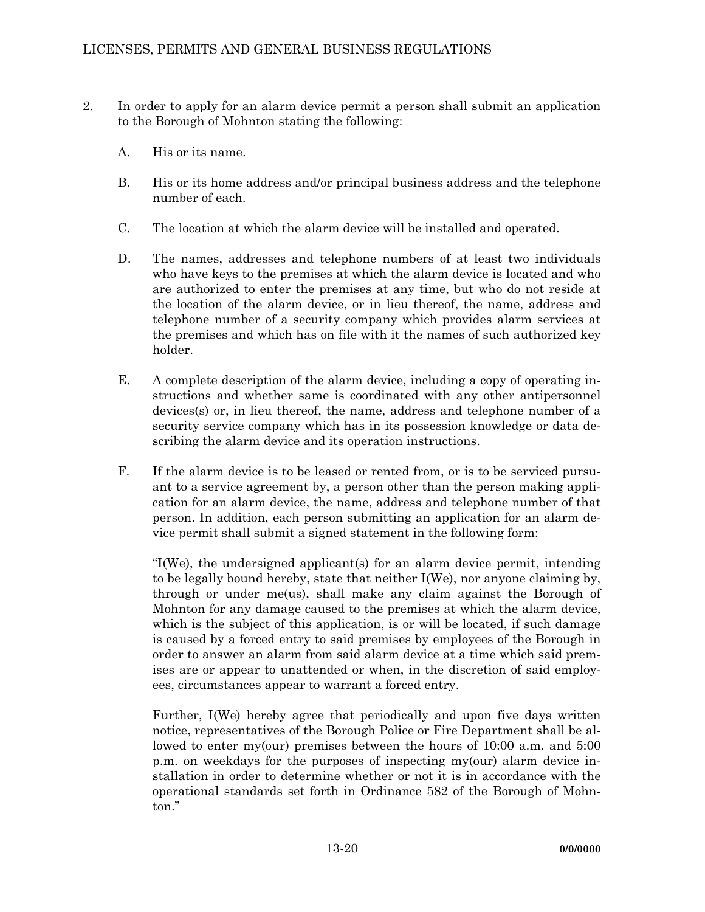- 2. In order to apply for an alarm device permit a person shall submit an application to the Borough of Mohnton stating the following:
	- A. His or its name.
	- B. His or its home address and/or principal business address and the telephone number of each.
	- C. The location at which the alarm device will be installed and operated.
	- D. The names, addresses and telephone numbers of at least two individuals who have keys to the premises at which the alarm device is located and who are authorized to enter the premises at any time, but who do not reside at the location of the alarm device, or in lieu thereof, the name, address and telephone number of a security company which provides alarm services at the premises and which has on file with it the names of such authorized key holder.
	- E. A complete description of the alarm device, including a copy of operating instructions and whether same is coordinated with any other antipersonnel devices(s) or, in lieu thereof, the name, address and telephone number of a security service company which has in its possession knowledge or data describing the alarm device and its operation instructions.
	- F. If the alarm device is to be leased or rented from, or is to be serviced pursuant to a service agreement by, a person other than the person making application for an alarm device, the name, address and telephone number of that person. In addition, each person submitting an application for an alarm device permit shall submit a signed statement in the following form:

 "I(We), the undersigned applicant(s) for an alarm device permit, intending to be legally bound hereby, state that neither I(We), nor anyone claiming by, through or under me(us), shall make any claim against the Borough of Mohnton for any damage caused to the premises at which the alarm device, which is the subject of this application, is or will be located, if such damage is caused by a forced entry to said premises by employees of the Borough in order to answer an alarm from said alarm device at a time which said premises are or appear to unattended or when, in the discretion of said employees, circumstances appear to warrant a forced entry.

 Further, I(We) hereby agree that periodically and upon five days written notice, representatives of the Borough Police or Fire Department shall be allowed to enter my(our) premises between the hours of 10:00 a.m. and 5:00 p.m. on weekdays for the purposes of inspecting my(our) alarm device installation in order to determine whether or not it is in accordance with the operational standards set forth in Ordinance 582 of the Borough of Mohnton."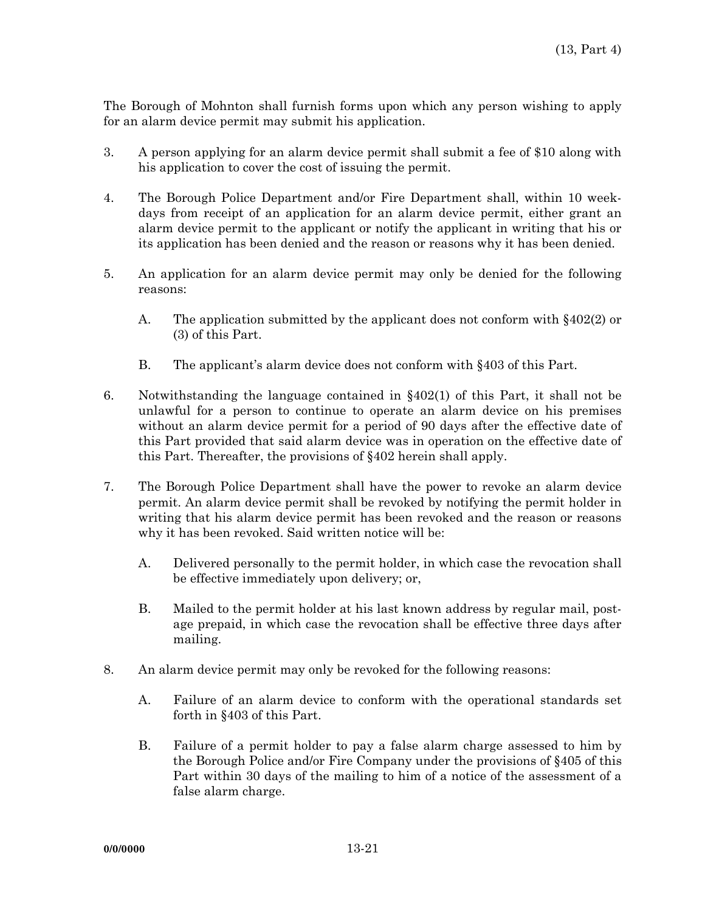The Borough of Mohnton shall furnish forms upon which any person wishing to apply for an alarm device permit may submit his application.

- 3. A person applying for an alarm device permit shall submit a fee of \$10 along with his application to cover the cost of issuing the permit.
- 4. The Borough Police Department and/or Fire Department shall, within 10 weekdays from receipt of an application for an alarm device permit, either grant an alarm device permit to the applicant or notify the applicant in writing that his or its application has been denied and the reason or reasons why it has been denied.
- 5. An application for an alarm device permit may only be denied for the following reasons:
	- A. The application submitted by the applicant does not conform with §402(2) or (3) of this Part.
	- B. The applicant's alarm device does not conform with §403 of this Part.
- 6. Notwithstanding the language contained in §402(1) of this Part, it shall not be unlawful for a person to continue to operate an alarm device on his premises without an alarm device permit for a period of 90 days after the effective date of this Part provided that said alarm device was in operation on the effective date of this Part. Thereafter, the provisions of §402 herein shall apply.
- 7. The Borough Police Department shall have the power to revoke an alarm device permit. An alarm device permit shall be revoked by notifying the permit holder in writing that his alarm device permit has been revoked and the reason or reasons why it has been revoked. Said written notice will be:
	- A. Delivered personally to the permit holder, in which case the revocation shall be effective immediately upon delivery; or,
	- B. Mailed to the permit holder at his last known address by regular mail, postage prepaid, in which case the revocation shall be effective three days after mailing.
- 8. An alarm device permit may only be revoked for the following reasons:
	- A. Failure of an alarm device to conform with the operational standards set forth in §403 of this Part.
	- B. Failure of a permit holder to pay a false alarm charge assessed to him by the Borough Police and/or Fire Company under the provisions of §405 of this Part within 30 days of the mailing to him of a notice of the assessment of a false alarm charge.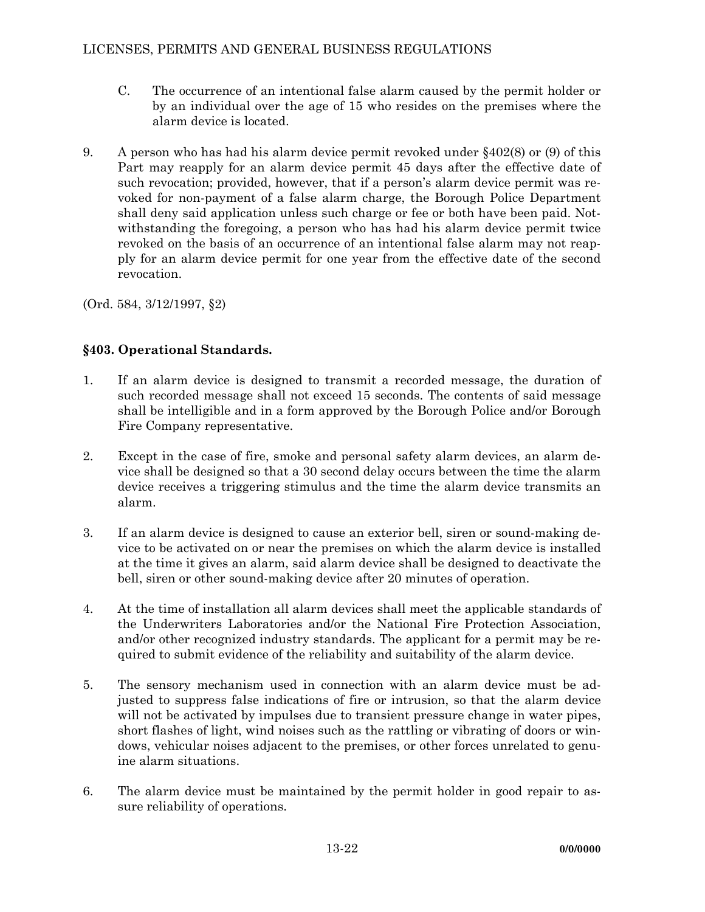- C. The occurrence of an intentional false alarm caused by the permit holder or by an individual over the age of 15 who resides on the premises where the alarm device is located.
- 9. A person who has had his alarm device permit revoked under §402(8) or (9) of this Part may reapply for an alarm device permit 45 days after the effective date of such revocation; provided, however, that if a person's alarm device permit was revoked for non-payment of a false alarm charge, the Borough Police Department shall deny said application unless such charge or fee or both have been paid. Notwithstanding the foregoing, a person who has had his alarm device permit twice revoked on the basis of an occurrence of an intentional false alarm may not reapply for an alarm device permit for one year from the effective date of the second revocation.

(Ord. 584, 3/12/1997, §2)

# **§403. Operational Standards.**

- 1. If an alarm device is designed to transmit a recorded message, the duration of such recorded message shall not exceed 15 seconds. The contents of said message shall be intelligible and in a form approved by the Borough Police and/or Borough Fire Company representative.
- 2. Except in the case of fire, smoke and personal safety alarm devices, an alarm device shall be designed so that a 30 second delay occurs between the time the alarm device receives a triggering stimulus and the time the alarm device transmits an alarm.
- 3. If an alarm device is designed to cause an exterior bell, siren or sound-making device to be activated on or near the premises on which the alarm device is installed at the time it gives an alarm, said alarm device shall be designed to deactivate the bell, siren or other sound-making device after 20 minutes of operation.
- 4. At the time of installation all alarm devices shall meet the applicable standards of the Underwriters Laboratories and/or the National Fire Protection Association, and/or other recognized industry standards. The applicant for a permit may be required to submit evidence of the reliability and suitability of the alarm device.
- 5. The sensory mechanism used in connection with an alarm device must be adjusted to suppress false indications of fire or intrusion, so that the alarm device will not be activated by impulses due to transient pressure change in water pipes, short flashes of light, wind noises such as the rattling or vibrating of doors or windows, vehicular noises adjacent to the premises, or other forces unrelated to genuine alarm situations.
- 6. The alarm device must be maintained by the permit holder in good repair to assure reliability of operations.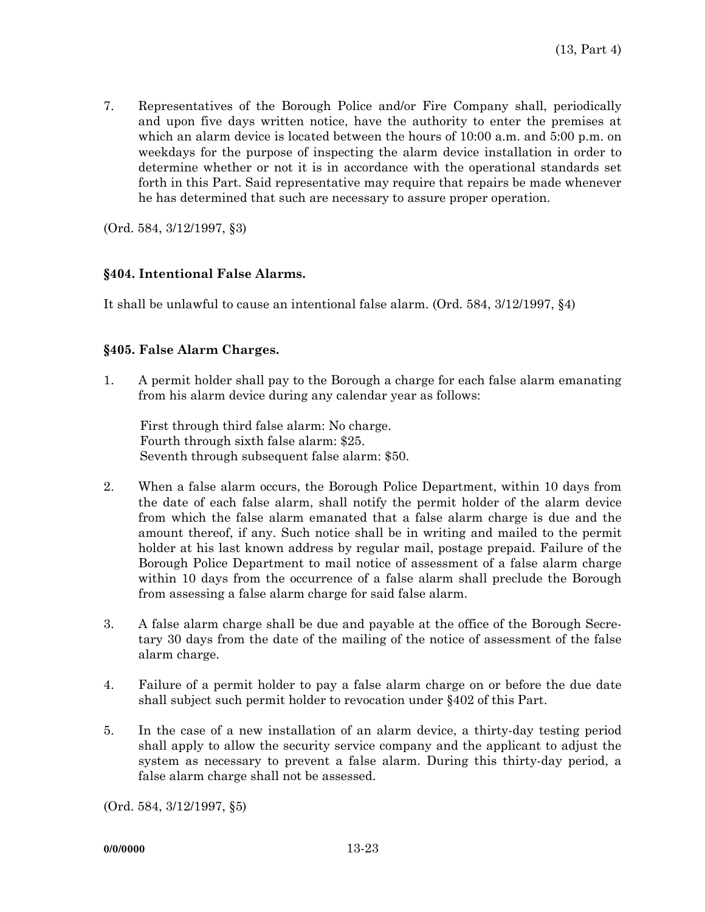7. Representatives of the Borough Police and/or Fire Company shall, periodically and upon five days written notice, have the authority to enter the premises at which an alarm device is located between the hours of 10:00 a.m. and 5:00 p.m. on weekdays for the purpose of inspecting the alarm device installation in order to determine whether or not it is in accordance with the operational standards set forth in this Part. Said representative may require that repairs be made whenever he has determined that such are necessary to assure proper operation.

(Ord. 584, 3/12/1997, §3)

## **§404. Intentional False Alarms.**

It shall be unlawful to cause an intentional false alarm. (Ord. 584, 3/12/1997, §4)

#### **§405. False Alarm Charges.**

1. A permit holder shall pay to the Borough a charge for each false alarm emanating from his alarm device during any calendar year as follows:

First through third false alarm: No charge. Fourth through sixth false alarm: \$25. Seventh through subsequent false alarm: \$50.

- 2. When a false alarm occurs, the Borough Police Department, within 10 days from the date of each false alarm, shall notify the permit holder of the alarm device from which the false alarm emanated that a false alarm charge is due and the amount thereof, if any. Such notice shall be in writing and mailed to the permit holder at his last known address by regular mail, postage prepaid. Failure of the Borough Police Department to mail notice of assessment of a false alarm charge within 10 days from the occurrence of a false alarm shall preclude the Borough from assessing a false alarm charge for said false alarm.
- 3. A false alarm charge shall be due and payable at the office of the Borough Secretary 30 days from the date of the mailing of the notice of assessment of the false alarm charge.
- 4. Failure of a permit holder to pay a false alarm charge on or before the due date shall subject such permit holder to revocation under §402 of this Part.
- 5. In the case of a new installation of an alarm device, a thirty-day testing period shall apply to allow the security service company and the applicant to adjust the system as necessary to prevent a false alarm. During this thirty-day period, a false alarm charge shall not be assessed.

(Ord. 584, 3/12/1997, §5)